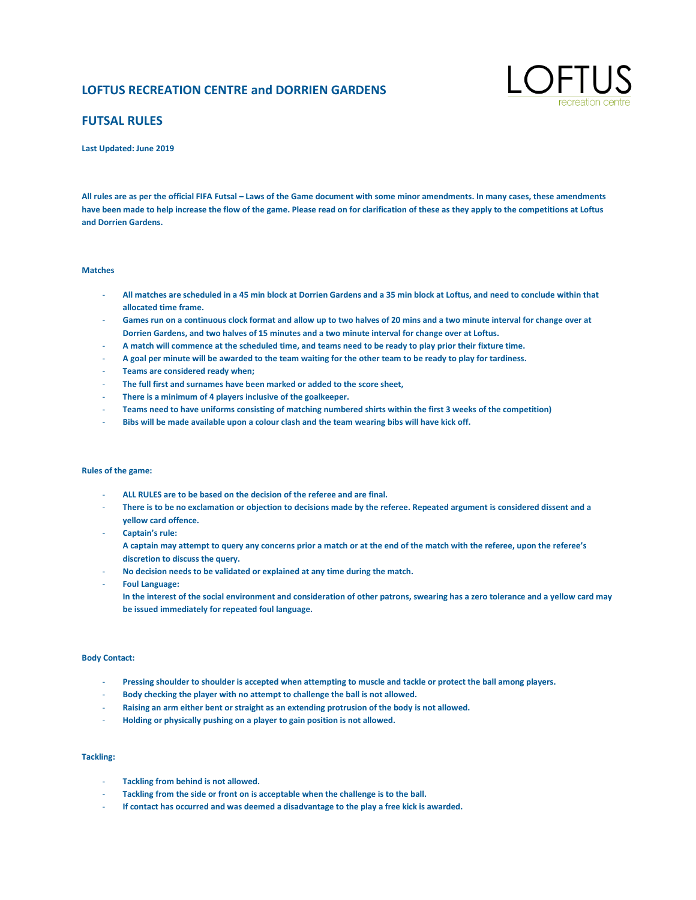# **LOFTUS RECREATION CENTRE and DORRIEN GARDENS**



# **FUTSAL RULES**

**Last Updated: June 2019**

All rules are as per the official FIFA Futsal – Laws of the Game document with some minor amendments. In many cases, these amendments **have been made to help increase the flow of the game. Please read on for clarification of these as they apply to the competitions at Loftus and Dorrien Gardens.**

#### **Matches**

- **All matches are scheduled in a 45 min block at Dorrien Gardens and a 35 min block at Loftus, and need to conclude within that allocated time frame.**
- **Games run on a continuous clock format and allow up to two halves of 20 mins and a two minute interval for change over at Dorrien Gardens, and two halves of 15 minutes and a two minute interval for change over at Loftus.**
- **A match will commence at the scheduled time, and teams need to be ready to play prior their fixture time.**
- **A goal per minute will be awarded to the team waiting for the other team to be ready to play for tardiness.**
- **Teams are considered ready when;**
- **The full first and surnames have been marked or added to the score sheet,**
- **There is a minimum of 4 players inclusive of the goalkeeper.**
- **Teams need to have uniforms consisting of matching numbered shirts within the first 3 weeks of the competition)**
- **Bibs will be made available upon a colour clash and the team wearing bibs will have kick off.**

### **Rules of the game:**

- **ALL RULES are to be based on the decision of the referee and are final.**
- **There is to be no exclamation or objection to decisions made by the referee. Repeated argument is considered dissent and a yellow card offence.**
- **Captain's rule:**

**A captain may attempt to query any concerns prior a match or at the end of the match with the referee, upon the referee's discretion to discuss the query.**

- **No decision needs to be validated or explained at any time during the match.**
- **Foul Language:** 
	- **In the interest of the social environment and consideration of other patrons, swearing has a zero tolerance and a yellow card may be issued immediately for repeated foul language.**

## **Body Contact:**

- **Pressing shoulder to shoulder is accepted when attempting to muscle and tackle or protect the ball among players.**
- **Body checking the player with no attempt to challenge the ball is not allowed.**
- **Raising an arm either bent or straight as an extending protrusion of the body is not allowed.**
- **Holding or physically pushing on a player to gain position is not allowed.**

## **Tackling:**

- **Tackling from behind is not allowed.**
- Tackling from the side or front on is acceptable when the challenge is to the ball.
- If contact has occurred and was deemed a disadvantage to the play a free kick is awarded.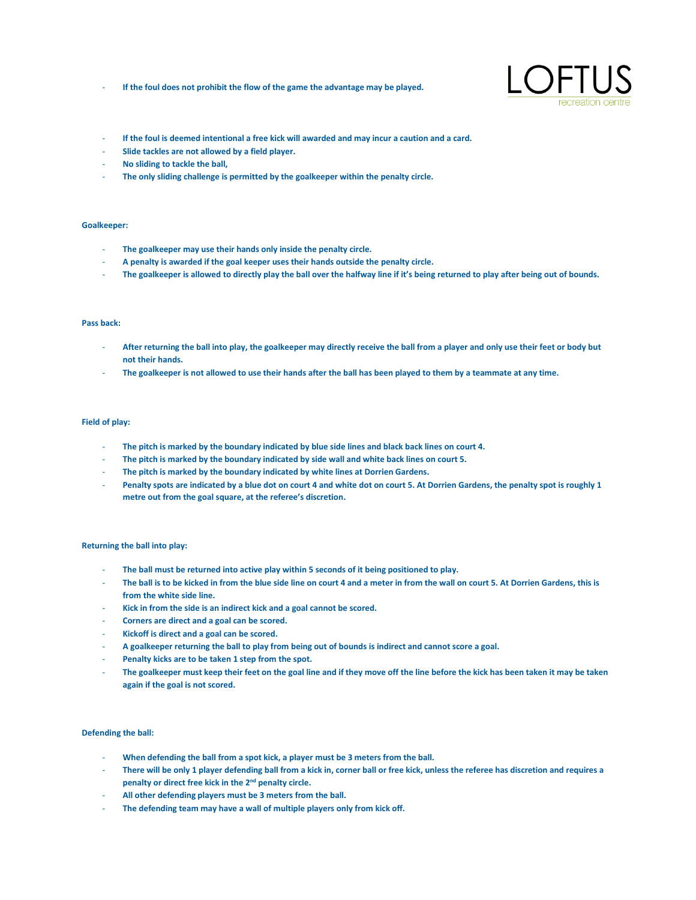If the foul does not prohibit the flow of the game the advantage may be played.



- **If the foul is deemed intentional a free kick will awarded and may incur a caution and a card.** - **Slide tackles are not allowed by a field player.**
- **No sliding to tackle the ball,**
- **The only sliding challenge is permitted by the goalkeeper within the penalty circle.**

# **Goalkeeper:**

- **The goalkeeper may use their hands only inside the penalty circle.**
- **A penalty is awarded if the goal keeper uses their hands outside the penalty circle.**
- The goalkeeper is allowed to directly play the ball over the halfway line if it's being returned to play after being out of bounds.

#### **Pass back:**

- **After returning the ball into play, the goalkeeper may directly receive the ball from a player and only use their feet or body but not their hands.**
- **The goalkeeper is not allowed to use their hands after the ball has been played to them by a teammate at any time.**

#### **Field of play:**

- **The pitch is marked by the boundary indicated by blue side lines and black back lines on court 4.**
- **The pitch is marked by the boundary indicated by side wall and white back lines on court 5.**
- The pitch is marked by the boundary indicated by white lines at Dorrien Gardens.
- **Penalty spots are indicated by a blue dot on court 4 and white dot on court 5. At Dorrien Gardens, the penalty spot is roughly 1 metre out from the goal square, at the referee's discretion.**

#### **Returning the ball into play:**

- **The ball must be returned into active play within 5 seconds of it being positioned to play.**
- **The ball is to be kicked in from the blue side line on court 4 and a meter in from the wall on court 5. At Dorrien Gardens, this is from the white side line.**
- **Kick in from the side is an indirect kick and a goal cannot be scored.**
- **Corners are direct and a goal can be scored.**
- **Kickoff is direct and a goal can be scored.**
- **A goalkeeper returning the ball to play from being out of bounds is indirect and cannot score a goal.**
- Penalty kicks are to be taken 1 step from the spot.
- **The goalkeeper must keep their feet on the goal line and if they move off the line before the kick has been taken it may be taken again if the goal is not scored.**

#### **Defending the ball:**

- **When defending the ball from a spot kick, a player must be 3 meters from the ball.**
- **There will be only 1 player defending ball from a kick in, corner ball or free kick, unless the referee has discretion and requires a penalty or direct free kick in the 2nd penalty circle.**
- **All other defending players must be 3 meters from the ball.**
- The defending team may have a wall of multiple players only from kick off.